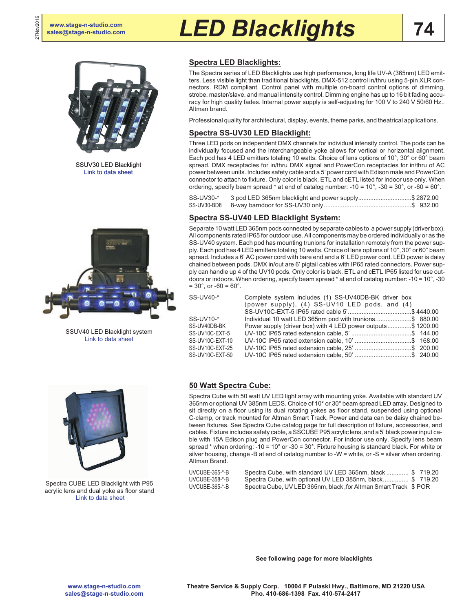27Nov2016

# **[sales@stage-n-studio.com](mailto:sales@stage-n-studio.com)** *LED Blacklights*



SSUV30 LED Blacklight [Link to data sheet](http://www.altmanlighting.com/wp-content/uploads/2016/05/20160407_Pegasus6_DataSheet.pdf)



SSUV40 LED Blacklight system [Link to data sheet](http://altmanlighting.com/wp-content/uploads/2016/04/SSUV40.pdf)

# **Spectra LED Blacklights:**

The Spectra series of LED Blacklights use high performance, long life UV-A (365nm) LED emitters. Less visible light than traditional blacklights. DMX-512 control in/thru using 5-pin XLR connectors. RDM compliant. Control panel with multiple on-board control options of dimming, strobe, master/slave, and manual intensity control. Dimming engine has up to 16 bit fading accuracy for high quality fades. Internal power supply is self-adjusting for 100 V to 240 V 50/60 Hz.. Altman brand.

Professional quality for architectural, display, events, theme parks, and theatrical applications.

### **Spectra SS-UV30 LED Blacklight:**

Three LED pods on independent DMX channels for individual intensity control. The pods can be individually focused and the interchangeable yoke allows for vertical or horizontal alignment. Each pod has 4 LED emitters totaling 10 watts. Choice of lens options of 10°, 30° or 60° beam spread. DMX receptacles for in/thru DMX signal and PowerCon receptacles for in/thru of AC power between units. Includes safety cable and a 5' power cord with Edison male and PowerCon connector to attach to fixture. Only color is black. ETL and cETL listed for indoor use only. When ordering, specify beam spread  $*$  at end of catalog number: -10 = 10 $^{\circ}$ , -30 = 30 $^{\circ}$ , or -60 = 60 $^{\circ}$ .

| SS-UV30-* | 3 pod LED 365nm blacklight and power supply\$ 2872.00 |  |
|-----------|-------------------------------------------------------|--|
|           |                                                       |  |

## **Spectra SS-UV40 LED Blacklight System:**

Separate 10 watt LED 365nm pods connected by separate cables to a power supply (driver box). All components rated IP65 for outdoor use. All components may be ordered individually or as the SS-UV40 system. Each pod has mounting trunions for installation remotely from the power supply. Each pod has 4 LED emitters totaling 10 watts. Choice of lens options of 10°, 30° or 60° beam spread. Includes a 6' AC power cord with bare end and a 6' LED power cord. LED power is daisy chained between pods. DMX in/out are 6' pigtail cables with IP65 rated connectors. Power supply can handle up 4 of the UV10 pods. Only color is black. ETL and cETL IP65 listed for use outdoors or indoors. When ordering, specify beam spread \* at end of catalog number: -10 = 10°, -30  $= 30^{\circ}$ , or  $-60 = 60^{\circ}$ .

| S-UV40-* |  |  |  |
|----------|--|--|--|

| $SS$ -UV10- $*$ |
|-----------------|
| SS-UV40DB-BK    |
| SS-UV10C-FXT-5  |
| SS-UV10C-FXT-10 |
| SS-UV10C-EXT-25 |
| SS-UV10C-FXT-50 |

| SS-UV40-*       | Complete system includes (1) SS-UV40DB-BK driver box<br>(power supply), (4) SS-UV10 LED pods, and (4) |
|-----------------|-------------------------------------------------------------------------------------------------------|
|                 |                                                                                                       |
| SS-UV10-*       | lndividual 10 watt LED 365nm pod with trunions\$ 880.00                                               |
| SS-UV40DB-BK    | Power supply (driver box) with 4 LED power outputs\$ 1200.00                                          |
| SS-UV10C-EXT-5  |                                                                                                       |
| SS-UV10C-EXT-10 | UV-10C IP65 rated extension cable, 10'\$ 168.00                                                       |
| SS-UV10C-EXT-25 | UV-10C IP65 rated extension cable, 25'\$ 200.00                                                       |
| SS-UV10C-EXT-50 | UV-10C IP65 rated extension cable, 50' \$ 240.00                                                      |



Spectra CUBE LED Blacklight with P95 acrylic lens and dual yoke as floor stand [Link to data sheet](http://altmanlighting.com/wp-content/uploads/2016/04/SpectraCube.pdf)

### **50 Watt Spectra Cube:**

Spectra Cube with 50 watt UV LED light array with mounting yoke. Available with standard UV 365nm or optional UV 385nm LEDS. Choice of 10° or 30° beam spread LED array. Designed to sit directly on a floor using its dual rotating yokes as floor stand, suspended using optional C-clamp, or track mounted for Altman Smart Track. Power and data can be daisy chained between fixtures. See Spectra Cube catalog page for full description of fixture, accessories, and cables. Fixture includes safety cable, a SSCUBE P95 acrylic lens, and a 5' black power input cable with 15A Edison plug and PowerCon connector. For indoor use only. Specify lens beam spread \* when ordering: -10 = 10° or -30 = 30°. Fixture housing is standard black. For white or silver housing, change -B at end of catalog number to -W = white, or -S = silver when ordering. Altman Brand.

| UVCUBE-365-*-B | Spectra Cube, with standard UV LED 365nm, black  \$719.20        |  |
|----------------|------------------------------------------------------------------|--|
| UVCUBE-358-*-B | Spectra Cube, with optional UV LED 385nm, black \$719.20         |  |
| UVCUBE-365-*-B | Spectra Cube, UV LED 365nm, black, for Altman Smart Track \$ POR |  |

**See following page for more blacklights**